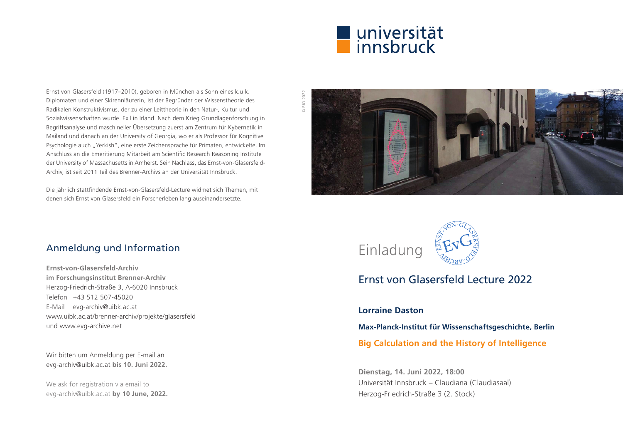

Ernst von Glasersfeld (1917–2010), geboren in München als Sohn eines k.u.k. Diplomaten und einer Skirennläuferin, ist der Begründer der Wissenstheorie des Radikalen Konstruktivismus, der zu einer Leittheorie in den Natur-, Kultur und Sozialwissenschaften wurde. Exil in Irland. Nach dem Krieg Grundlagenforschung in Begriffsanalyse und maschineller Übersetzung zuerst am Zentrum für Kybernetik in Mailand und danach an der University of Georgia, wo er als Professor für Kognitive Psychologie auch "Yerkish", eine erste Zeichensprache für Primaten, entwickelte. Im Anschluss an die Emeritierung Mitarbeit am Scientific Research Reasoning Institute der University of Massachusetts in Amherst. Sein Nachlass, das Ernst-von-Glasersfeld-Archiv, ist seit 2011 Teil des Brenner-Archivs an der Universität Innsbruck.

Die jährlich stattfindende Ernst-von-Glasersfeld-Lecture widmet sich Themen, mit denen sich Ernst von Glasersfeld ein Forscherleben lang auseinandersetzte.

# **BfÖ 2022** © BfÖ 2022

## Anmeldung und Information

**Ernst-von-Glasersfeld-Archiv im Forschungsinstitut Brenner-Archiv** Herzog-Friedrich-Straße 3, A-6020 Innsbruck Telefon +43 512 507-45020 E-Mail evg-archiv@uibk.ac.at www.uibk.ac.at/brenner-archiv/projekte/glasersfeld und www.evg-archive.net

Wir bitten um Anmeldung per E-mail an evg-archiv@uibk.ac.at **bis 10. Juni 2022.**

We ask for registration via email to evg-archiv@uibk.ac.at **by 10 June, 2022.**



# Ernst von Glasersfeld Lecture 2022

### **Lorraine Daston**

**Max-Planck-Institut für Wissenschaftsgeschichte, Berlin**

**Big Calculation and the History of Intelligence**

**Dienstag, 14. Juni 2022, 18:00** Universität Innsbruck – Claudiana (Claudiasaal) Herzog-Friedrich-Straße 3 (2. Stock)